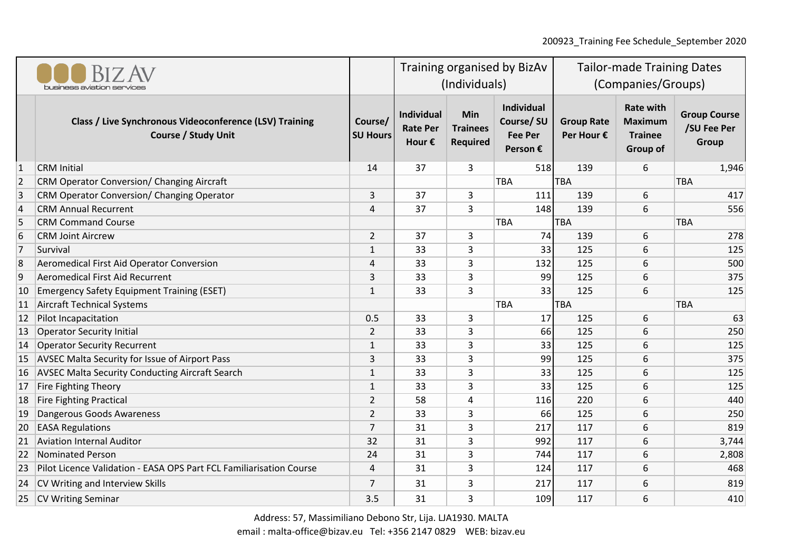200923\_Training Fee Schedule\_September 2020

| business aviation services |                                                                                       |                            | Training organised by BizAv<br>(Individuals)            |                                                  |                                                       | <b>Tailor-made Training Dates</b><br>(Companies/Groups) |                                                                  |                                             |
|----------------------------|---------------------------------------------------------------------------------------|----------------------------|---------------------------------------------------------|--------------------------------------------------|-------------------------------------------------------|---------------------------------------------------------|------------------------------------------------------------------|---------------------------------------------|
|                            | Class / Live Synchronous Videoconference (LSV) Training<br><b>Course / Study Unit</b> | Course/<br><b>SU Hours</b> | <b>Individual</b><br><b>Rate Per</b><br>Hour $\epsilon$ | <b>Min</b><br><b>Trainees</b><br><b>Required</b> | Individual<br>Course/SU<br><b>Fee Per</b><br>Person € | <b>Group Rate</b><br>Per Hour €                         | <b>Rate with</b><br><b>Maximum</b><br><b>Trainee</b><br>Group of | <b>Group Course</b><br>/SU Fee Per<br>Group |
| $\vert$ 1                  | <b>CRM</b> Initial                                                                    | 14                         | 37                                                      | 3                                                | 518                                                   | 139                                                     | 6                                                                | 1,946                                       |
| 2                          | <b>CRM Operator Conversion/ Changing Aircraft</b>                                     |                            |                                                         |                                                  | <b>TBA</b>                                            | <b>TBA</b>                                              |                                                                  | TBA                                         |
| 3                          | CRM Operator Conversion/ Changing Operator                                            | $\overline{3}$             | 37                                                      | 3                                                | 111                                                   | 139                                                     | 6                                                                | 417                                         |
| $\vert 4$                  | <b>CRM Annual Recurrent</b>                                                           | 4                          | 37                                                      | 3                                                | 148                                                   | 139                                                     | 6                                                                | 556                                         |
| 5                          | <b>CRM Command Course</b>                                                             |                            |                                                         |                                                  | <b>TBA</b>                                            | <b>TBA</b>                                              |                                                                  | <b>TBA</b>                                  |
| 6                          | <b>CRM Joint Aircrew</b>                                                              | $\overline{2}$             | 37                                                      | 3                                                | 74                                                    | 139                                                     | 6                                                                | 278                                         |
| 7                          | Survival                                                                              | $\mathbf{1}$               | 33                                                      | 3                                                | 33                                                    | 125                                                     | 6                                                                | 125                                         |
| 8                          | Aeromedical First Aid Operator Conversion                                             | 4                          | 33                                                      | 3                                                | 132                                                   | 125                                                     | 6                                                                | 500                                         |
| 9                          | Aeromedical First Aid Recurrent                                                       | $\mathbf{3}$               | 33                                                      | 3                                                | 99                                                    | 125                                                     | 6                                                                | 375                                         |
| 10                         | <b>Emergency Safety Equipment Training (ESET)</b>                                     | $\mathbf{1}$               | 33                                                      | 3                                                | 33                                                    | 125                                                     | 6                                                                | 125                                         |
| 11                         | Aircraft Technical Systems                                                            |                            |                                                         |                                                  | <b>TBA</b>                                            | <b>TBA</b>                                              |                                                                  | TBA                                         |
| 12                         | Pilot Incapacitation                                                                  | 0.5                        | 33                                                      | 3                                                | 17                                                    | 125                                                     | 6                                                                | 63                                          |
| 13                         | Operator Security Initial                                                             | 2                          | 33                                                      | 3                                                | 66                                                    | 125                                                     | 6                                                                | 250                                         |
| 14                         | <b>Operator Security Recurrent</b>                                                    | $\mathbf{1}$               | 33                                                      | 3                                                | 33                                                    | 125                                                     | 6                                                                | 125                                         |
| 15                         | <b>AVSEC Malta Security for Issue of Airport Pass</b>                                 | 3                          | 33                                                      | 3                                                | 99                                                    | 125                                                     | 6                                                                | 375                                         |
| 16                         | <b>AVSEC Malta Security Conducting Aircraft Search</b>                                | $1\,$                      | 33                                                      | 3                                                | 33                                                    | 125                                                     | 6                                                                | 125                                         |
| 17                         | Fire Fighting Theory                                                                  | $\mathbf{1}$               | 33                                                      | 3                                                | 33                                                    | 125                                                     | 6                                                                | 125                                         |
| 18                         | Fire Fighting Practical                                                               | $\overline{2}$             | 58                                                      | 4                                                | 116                                                   | 220                                                     | 6                                                                | 440                                         |
| 19                         | Dangerous Goods Awareness                                                             | $\overline{2}$             | 33                                                      | 3                                                | 66                                                    | 125                                                     | 6                                                                | 250                                         |
| 20                         | <b>EASA Regulations</b>                                                               | $\overline{7}$             | 31                                                      | 3                                                | 217                                                   | 117                                                     | 6                                                                | 819                                         |
| 21                         | <b>Aviation Internal Auditor</b>                                                      | 32                         | 31                                                      | 3                                                | 992                                                   | 117                                                     | 6                                                                | 3,744                                       |
| 22                         | Nominated Person                                                                      | 24                         | 31                                                      | 3                                                | 744                                                   | 117                                                     | 6                                                                | 2,808                                       |
| 23                         | Pilot Licence Validation - EASA OPS Part FCL Familiarisation Course                   | $\overline{4}$             | 31                                                      | 3                                                | 124                                                   | 117                                                     | 6                                                                | 468                                         |
| 24                         | CV Writing and Interview Skills                                                       | $\overline{7}$             | 31                                                      | 3                                                | 217                                                   | 117                                                     | 6                                                                | 819                                         |
|                            | 25   CV Writing Seminar                                                               | 3.5                        | 31                                                      | 3                                                | 109                                                   | 117                                                     | 6                                                                | 410                                         |

Address: 57, Massimiliano Debono Str, Lija. LJA1930. MALTA

email : malta-office@bizav.eu Tel: +356 2147 0829 WEB: bizav.eu